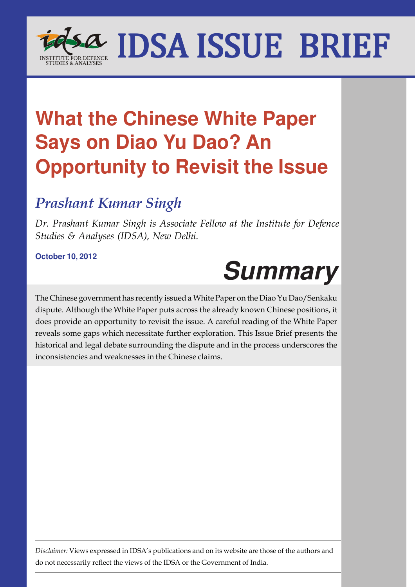

## **What the Chinese White Paper Says on Diao Yu Dao? An Opportunity to Revisit the Issue**

### *Prashant Kumar Singh*

*Dr. Prashant Kumar Singh is Associate Fellow at the Institute for Defence Studies & Analyses (IDSA), New Delhi.*

**October 10, 2012**

# **Summary**

The Chinese government has recently issued a White Paper on the Diao Yu Dao/Senkaku dispute. Although the White Paper puts across the already known Chinese positions, it does provide an opportunity to revisit the issue. A careful reading of the White Paper reveals some gaps which necessitate further exploration. This Issue Brief presents the historical and legal debate surrounding the dispute and in the process underscores the inconsistencies and weaknesses in the Chinese claims.

*Disclaimer:* Views expressed in IDSA's publications and on its website are those of the authors and do not necessarily reflect the views of the IDSA or the Government of India.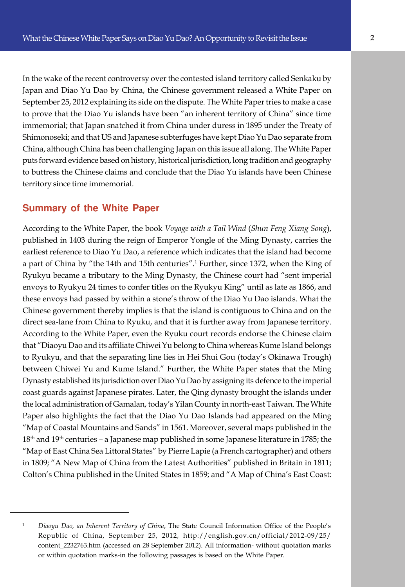e Shimonoseki; and that US and Japanese subterfuges have kept Diao Yu Dao separate from In the wake of the recent controversy over the contested island territory called Senkaku by Japan and Diao Yu Dao by China, the Chinese government released a White Paper on September 25, 2012 explaining its side on the dispute. The White Paper tries to make a case to prove that the Diao Yu islands have been "an inherent territory of China" since time immemorial; that Japan snatched it from China under duress in 1895 under the Treaty of China, although China has been challenging Japan on this issue all along. The White Paper puts forward evidence based on history, historical jurisdiction, long tradition and geography to buttress the Chinese claims and conclude that the Diao Yu islands have been Chinese territory since time immemorial.

#### **Summary of the White Paper**

According to the White Paper, the book *Voyage with a Tail Wind* (*Shun Feng Xiang Song*), published in 1403 during the reign of Emperor Yongle of the Ming Dynasty, carries the earliest reference to Diao Yu Dao, a reference which indicates that the island had become a part of China by "the 14th and 15th centuries".<sup>1</sup> Further, since 1372, when the King of Ryukyu became a tributary to the Ming Dynasty, the Chinese court had "sent imperial envoys to Ryukyu 24 times to confer titles on the Ryukyu King" until as late as 1866, and these envoys had passed by within a stone's throw of the Diao Yu Dao islands. What the Chinese government thereby implies is that the island is contiguous to China and on the direct sea-lane from China to Ryuku, and that it is further away from Japanese territory. According to the White Paper, even the Ryuku court records endorse the Chinese claim that "Diaoyu Dao and its affiliate Chiwei Yu belong to China whereas Kume Island belongs to Ryukyu, and that the separating line lies in Hei Shui Gou (today's Okinawa Trough) between Chiwei Yu and Kume Island." Further, the White Paper states that the Ming Dynasty established its jurisdiction over Diao Yu Dao by assigning its defence to the imperial coast guards against Japanese pirates. Later, the Qing dynasty brought the islands under the local administration of Gamalan, today's Yilan County in north-east Taiwan. The White Paper also highlights the fact that the Diao Yu Dao Islands had appeared on the Ming "Map of Coastal Mountains and Sands" in 1561. Moreover, several maps published in the 18th and 19th centuries – a Japanese map published in some Japanese literature in 1785; the "Map of East China Sea Littoral States" by Pierre Lapie (a French cartographer) and others in 1809; "A New Map of China from the Latest Authorities" published in Britain in 1811; Colton's China published in the United States in 1859; and "A Map of China's East Coast:

<sup>&</sup>lt;sup>1</sup> *Diaoyu Dao, an Inherent Territory of China*, The State Council Information Office of the People's Republic of China, September 25, 2012, http://english.gov.cn/official/2012-09/25/ content\_2232763.htm (accessed on 28 September 2012). All information- without quotation marks or within quotation marks-in the following passages is based on the White Paper.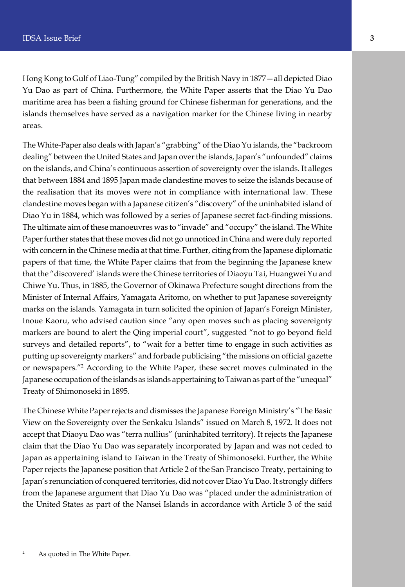Hong Kong to Gulf of Liao-Tung" compiled by the British Navy in 1877—all depicted Diao Yu Dao as part of China. Furthermore, the White Paper asserts that the Diao Yu Dao maritime area has been a fishing ground for Chinese fisherman for generations, and the islands themselves have served as a navigation marker for the Chinese living in nearby areas.

The White-Paper also deals with Japan's "grabbing" of the Diao Yu islands, the "backroom dealing" between the United States and Japan over the islands, Japan's "unfounded" claims on the islands, and China's continuous assertion of sovereignty over the islands. It alleges that between 1884 and 1895 Japan made clandestine moves to seize the islands because of the realisation that its moves were not in compliance with international law. These clandestine moves began with a Japanese citizen's "discovery" of the uninhabited island of Diao Yu in 1884, which was followed by a series of Japanese secret fact-finding missions. The ultimate aim of these manoeuvres was to "invade" and "occupy" the island. The White Paper further states that these moves did not go unnoticed in China and were duly reported with concern in the Chinese media at that time. Further, citing from the Japanese diplomatic papers of that time, the White Paper claims that from the beginning the Japanese knew that the "discovered' islands were the Chinese territories of Diaoyu Tai, Huangwei Yu and Chiwe Yu. Thus, in 1885, the Governor of Okinawa Prefecture sought directions from the Minister of Internal Affairs, Yamagata Aritomo, on whether to put Japanese sovereignty marks on the islands. Yamagata in turn solicited the opinion of Japan's Foreign Minister, Inoue Kaoru, who advised caution since "any open moves such as placing sovereignty markers are bound to alert the Qing imperial court", suggested "not to go beyond field surveys and detailed reports", to "wait for a better time to engage in such activities as putting up sovereignty markers" and forbade publicising "the missions on official gazette or newspapers."<sup>2</sup> According to the White Paper, these secret moves culminated in the Japanese occupation of the islands as islands appertaining to Taiwan as part of the "unequal" Treaty of Shimonoseki in 1895.

The Chinese White Paper rejects and dismisses the Japanese Foreign Ministry's "The Basic View on the Sovereignty over the Senkaku Islands" issued on March 8, 1972. It does not accept that Diaoyu Dao was "terra nullius" (uninhabited territory). It rejects the Japanese claim that the Diao Yu Dao was separately incorporated by Japan and was not ceded to Japan as appertaining island to Taiwan in the Treaty of Shimonoseki. Further, the White Paper rejects the Japanese position that Article 2 of the San Francisco Treaty, pertaining to Japan's renunciation of conquered territories, did not cover Diao Yu Dao. It strongly differs from the Japanese argument that Diao Yu Dao was "placed under the administration of the United States as part of the Nansei Islands in accordance with Article 3 of the said

<sup>&</sup>lt;sup>2</sup> As quoted in The White Paper.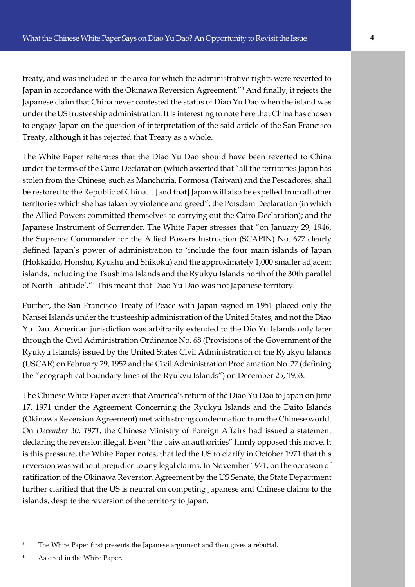Treaty, although it has rejected that Treaty as a whole. treaty, and was included in the area for which the administrative rights were reverted to Japan in accordance with the Okinawa Reversion Agreement."<sup>3</sup> And finally, it rejects the Japanese claim that China never contested the status of Diao Yu Dao when the island was under the US trusteeship administration. It is interesting to note here that China has chosen to engage Japan on the question of interpretation of the said article of the San Francisco

The White Paper reiterates that the Diao Yu Dao should have been reverted to China under the terms of the Cairo Declaration (which asserted that "all the territories Japan has stolen from the Chinese, such as Manchuria, Formosa (Taiwan) and the Pescadores, shall be restored to the Republic of China… [and that] Japan will also be expelled from all other territories which she has taken by violence and greed"; the Potsdam Declaration (in which the Allied Powers committed themselves to carrying out the Cairo Declaration); and the Japanese Instrument of Surrender. The White Paper stresses that "on January 29, 1946, the Supreme Commander for the Allied Powers Instruction (SCAPIN) No. 677 clearly defined Japan's power of administration to 'include the four main islands of Japan (Hokkaido, Honshu, Kyushu and Shikoku) and the approximately 1,000 smaller adjacent islands, including the Tsushima Islands and the Ryukyu Islands north of the 30th parallel of North Latitude'."<sup>4</sup> This meant that Diao Yu Dao was not Japanese territory.

Further, the San Francisco Treaty of Peace with Japan signed in 1951 placed only the Nansei Islands under the trusteeship administration of the United States, and not the Diao Yu Dao. American jurisdiction was arbitrarily extended to the Dio Yu Islands only later through the Civil Administration Ordinance No. 68 (Provisions of the Government of the Ryukyu Islands) issued by the United States Civil Administration of the Ryukyu Islands (USCAR) on February 29, 1952 and the Civil Administration Proclamation No. 27 (defining the "geographical boundary lines of the Ryukyu Islands") on December 25, 1953.

The Chinese White Paper avers that America's return of the Diao Yu Dao to Japan on June 17, 1971 under the Agreement Concerning the Ryukyu Islands and the Daito Islands (Okinawa Reversion Agreement) met with strong condemnation from the Chinese world. On *December 30, 1971*, the Chinese Ministry of Foreign Affairs had issued a statement declaring the reversion illegal. Even "the Taiwan authorities" firmly opposed this move. It is this pressure, the White Paper notes, that led the US to clarify in October 1971 that this reversion was without prejudice to any legal claims. In November 1971, on the occasion of ratification of the Okinawa Reversion Agreement by the US Senate, the State Department further clarified that the US is neutral on competing Japanese and Chinese claims to the islands, despite the reversion of the territory to Japan.

<sup>&</sup>lt;sup>3</sup> The White Paper first presents the Japanese argument and then gives a rebuttal.

<sup>4</sup> As cited in the White Paper.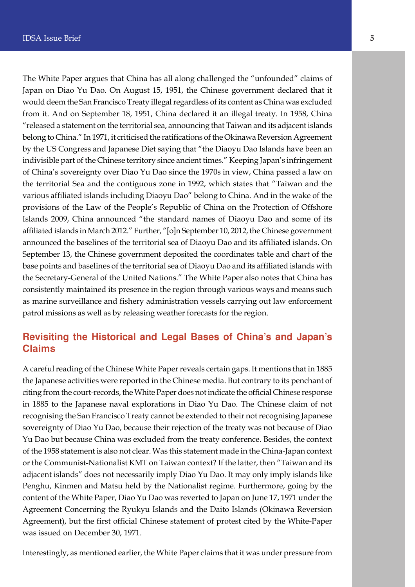The White Paper argues that China has all along challenged the "unfounded" claims of Japan on Diao Yu Dao. On August 15, 1951, the Chinese government declared that it would deem the San Francisco Treaty illegal regardless of its content as China was excluded from it. And on September 18, 1951, China declared it an illegal treaty. In 1958, China "released a statement on the territorial sea, announcing that Taiwan and its adjacent islands belong to China." In 1971, it criticised the ratifications of the Okinawa Reversion Agreement by the US Congress and Japanese Diet saying that "the Diaoyu Dao Islands have been an indivisible part of the Chinese territory since ancient times." Keeping Japan's infringement of China's sovereignty over Diao Yu Dao since the 1970s in view, China passed a law on the territorial Sea and the contiguous zone in 1992, which states that "Taiwan and the various affiliated islands including Diaoyu Dao" belong to China. And in the wake of the provisions of the Law of the People's Republic of China on the Protection of Offshore Islands 2009, China announced "the standard names of Diaoyu Dao and some of its affiliated islands in March 2012." Further, "[o]n September 10, 2012, the Chinese government announced the baselines of the territorial sea of Diaoyu Dao and its affiliated islands. On September 13, the Chinese government deposited the coordinates table and chart of the base points and baselines of the territorial sea of Diaoyu Dao and its affiliated islands with the Secretary-General of the United Nations." The White Paper also notes that China has consistently maintained its presence in the region through various ways and means such as marine surveillance and fishery administration vessels carrying out law enforcement patrol missions as well as by releasing weather forecasts for the region.

#### **Revisiting the Historical and Legal Bases of China's and Japan's Claims**

A careful reading of the Chinese White Paper reveals certain gaps. It mentions that in 1885 the Japanese activities were reported in the Chinese media. But contrary to its penchant of citing from the court-records, the White Paper does not indicate the official Chinese response in 1885 to the Japanese naval explorations in Diao Yu Dao. The Chinese claim of not recognising the San Francisco Treaty cannot be extended to their not recognising Japanese sovereignty of Diao Yu Dao, because their rejection of the treaty was not because of Diao Yu Dao but because China was excluded from the treaty conference. Besides, the context of the 1958 statement is also not clear. Was this statement made in the China-Japan context or the Communist-Nationalist KMT on Taiwan context? If the latter, then "Taiwan and its adjacent islands" does not necessarily imply Diao Yu Dao. It may only imply islands like Penghu, Kinmen and Matsu held by the Nationalist regime. Furthermore, going by the content of the White Paper, Diao Yu Dao was reverted to Japan on June 17, 1971 under the Agreement Concerning the Ryukyu Islands and the Daito Islands (Okinawa Reversion Agreement), but the first official Chinese statement of protest cited by the White-Paper was issued on December 30, 1971.

Interestingly, as mentioned earlier, the White Paper claims that it was under pressure from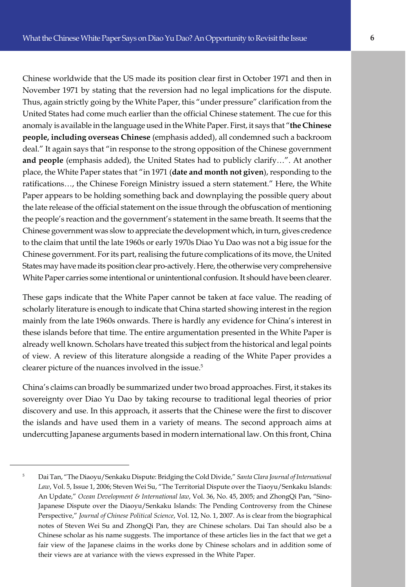e **people, including overseas Chinese** (emphasis added), all condemned such a backroom Chinese worldwide that the US made its position clear first in October 1971 and then in November 1971 by stating that the reversion had no legal implications for the dispute. Thus, again strictly going by the White Paper, this "under pressure" clarification from the United States had come much earlier than the official Chinese statement. The cue for this anomaly is available in the language used in the White Paper. First, it says that "**the Chinese** deal." It again says that "in response to the strong opposition of the Chinese government **and people** (emphasis added), the United States had to publicly clarify…". At another place, the White Paper states that "in 1971 (**date and month not given**), responding to the ratifications…, the Chinese Foreign Ministry issued a stern statement." Here, the White Paper appears to be holding something back and downplaying the possible query about the late release of the official statement on the issue through the obfuscation of mentioning the people's reaction and the government's statement in the same breath. It seems that the Chinese government was slow to appreciate the development which, in turn, gives credence to the claim that until the late 1960s or early 1970s Diao Yu Dao was not a big issue for the Chinese government. For its part, realising the future complications of its move, the United States may have made its position clear pro-actively. Here, the otherwise very comprehensive White Paper carries some intentional or unintentional confusion. It should have been clearer.

These gaps indicate that the White Paper cannot be taken at face value. The reading of scholarly literature is enough to indicate that China started showing interest in the region mainly from the late 1960s onwards. There is hardly any evidence for China's interest in these islands before that time. The entire argumentation presented in the White Paper is already well known. Scholars have treated this subject from the historical and legal points of view. A review of this literature alongside a reading of the White Paper provides a clearer picture of the nuances involved in the issue.<sup>5</sup>

China's claims can broadly be summarized under two broad approaches. First, it stakes its sovereignty over Diao Yu Dao by taking recourse to traditional legal theories of prior discovery and use. In this approach, it asserts that the Chinese were the first to discover the islands and have used them in a variety of means. The second approach aims at undercutting Japanese arguments based in modern international law. On this front, China

<sup>5</sup> Dai Tan, "The Diaoyu/Senkaku Dispute: Bridging the Cold Divide," *Santa Clara Journal of International Law*, Vol. 5, Issue 1, 2006; Steven Wei Su, "The Territorial Dispute over the Tiaoyu/Senkaku Islands: An Update," *Ocean Development & International law*, Vol. 36, No. 45, 2005; and ZhongQi Pan, "Sino-Japanese Dispute over the Diaoyu/Senkaku Islands: The Pending Controversy from the Chinese Perspective," *Journal of Chinese Political Science*, Vol. 12, No. 1, 2007. As is clear from the biographical notes of Steven Wei Su and ZhongQi Pan, they are Chinese scholars. Dai Tan should also be a Chinese scholar as his name suggests. The importance of these articles lies in the fact that we get a fair view of the Japanese claims in the works done by Chinese scholars and in addition some of their views are at variance with the views expressed in the White Paper.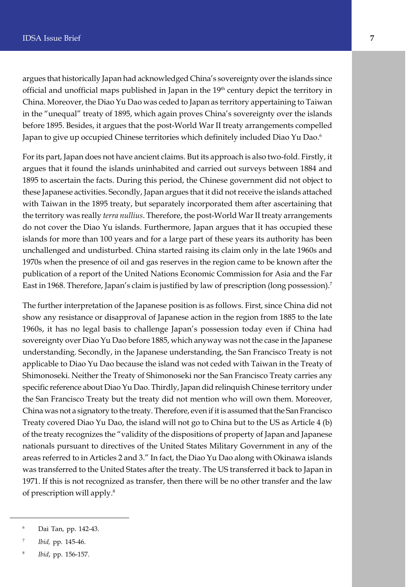argues that historically Japan had acknowledged China's sovereignty over the islands since official and unofficial maps published in Japan in the 19<sup>th</sup> century depict the territory in China. Moreover, the Diao Yu Dao was ceded to Japan as territory appertaining to Taiwan in the "unequal" treaty of 1895, which again proves China's sovereignty over the islands before 1895. Besides, it argues that the post-World War II treaty arrangements compelled Japan to give up occupied Chinese territories which definitely included Diao Yu Dao.<sup>6</sup>

For its part, Japan does not have ancient claims. But its approach is also two-fold. Firstly, it argues that it found the islands uninhabited and carried out surveys between 1884 and 1895 to ascertain the facts. During this period, the Chinese government did not object to these Japanese activities. Secondly, Japan argues that it did not receive the islands attached with Taiwan in the 1895 treaty, but separately incorporated them after ascertaining that the territory was really *terra nullius*. Therefore, the post-World War II treaty arrangements do not cover the Diao Yu islands. Furthermore, Japan argues that it has occupied these islands for more than 100 years and for a large part of these years its authority has been unchallenged and undisturbed. China started raising its claim only in the late 1960s and 1970s when the presence of oil and gas reserves in the region came to be known after the publication of a report of the United Nations Economic Commission for Asia and the Far East in 1968. Therefore, Japan's claim is justified by law of prescription (long possession).<sup>7</sup>

The further interpretation of the Japanese position is as follows. First, since China did not show any resistance or disapproval of Japanese action in the region from 1885 to the late 1960s, it has no legal basis to challenge Japan's possession today even if China had sovereignty over Diao Yu Dao before 1885, which anyway was not the case in the Japanese understanding. Secondly, in the Japanese understanding, the San Francisco Treaty is not applicable to Diao Yu Dao because the island was not ceded with Taiwan in the Treaty of Shimonoseki. Neither the Treaty of Shimonoseki nor the San Francisco Treaty carries any specific reference about Diao Yu Dao. Thirdly, Japan did relinquish Chinese territory under the San Francisco Treaty but the treaty did not mention who will own them. Moreover, China was not a signatory to the treaty. Therefore, even if it is assumed that the San Francisco Treaty covered Diao Yu Dao, the island will not go to China but to the US as Article 4 (b) of the treaty recognizes the "validity of the dispositions of property of Japan and Japanese nationals pursuant to directives of the United States Military Government in any of the areas referred to in Articles 2 and 3." In fact, the Diao Yu Dao along with Okinawa islands was transferred to the United States after the treaty. The US transferred it back to Japan in 1971. If this is not recognized as transfer, then there will be no other transfer and the law of prescription will apply.<sup>8</sup>

<sup>6</sup> Dai Tan, pp. 142-43.

<sup>7</sup> *Ibid,* pp. 145-46.

<sup>8</sup> *Ibid*, pp. 156-157.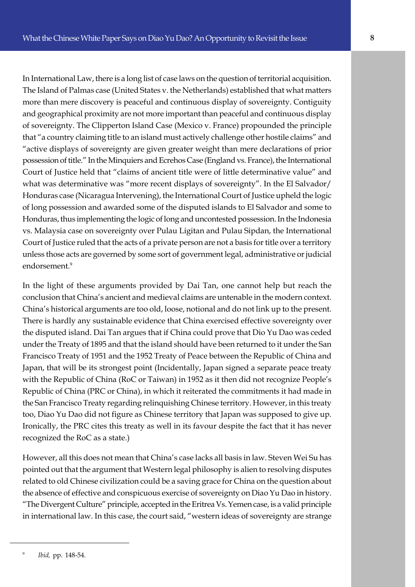e that "a country claiming title to an island must actively challenge other hostile claims" and In International Law, there is a long list of case laws on the question of territorial acquisition. The Island of Palmas case (United States v. the Netherlands) established that what matters more than mere discovery is peaceful and continuous display of sovereignty. Contiguity and geographical proximity are not more important than peaceful and continuous display of sovereignty. The Clipperton Island Case (Mexico v. France) propounded the principle "active displays of sovereignty are given greater weight than mere declarations of prior possession of title." In the Minquiers and Ecrehos Case (England vs. France), the International Court of Justice held that "claims of ancient title were of little determinative value" and what was determinative was "more recent displays of sovereignty". In the El Salvador/

Honduras case (Nicaragua Intervening), the International Court of Justice upheld the logic of long possession and awarded some of the disputed islands to El Salvador and some to Honduras, thus implementing the logic of long and uncontested possession. In the Indonesia vs. Malaysia case on sovereignty over Pulau Ligitan and Pulau Sipdan, the International Court of Justice ruled that the acts of a private person are not a basis for title over a territory unless those acts are governed by some sort of government legal, administrative or judicial endorsement<sup>9</sup>

In the light of these arguments provided by Dai Tan, one cannot help but reach the conclusion that China's ancient and medieval claims are untenable in the modern context. China's historical arguments are too old, loose, notional and do not link up to the present. There is hardly any sustainable evidence that China exercised effective sovereignty over the disputed island. Dai Tan argues that if China could prove that Dio Yu Dao was ceded under the Treaty of 1895 and that the island should have been returned to it under the San Francisco Treaty of 1951 and the 1952 Treaty of Peace between the Republic of China and Japan, that will be its strongest point (Incidentally, Japan signed a separate peace treaty with the Republic of China (RoC or Taiwan) in 1952 as it then did not recognize People's Republic of China (PRC or China), in which it reiterated the commitments it had made in the San Francisco Treaty regarding relinquishing Chinese territory. However, in this treaty too, Diao Yu Dao did not figure as Chinese territory that Japan was supposed to give up. Ironically, the PRC cites this treaty as well in its favour despite the fact that it has never recognized the RoC as a state.)

However, all this does not mean that China's case lacks all basis in law. Steven Wei Su has pointed out that the argument that Western legal philosophy is alien to resolving disputes related to old Chinese civilization could be a saving grace for China on the question about the absence of effective and conspicuous exercise of sovereignty on Diao Yu Dao in history. "The Divergent Culture" principle, accepted in the Eritrea Vs. Yemen case, is a valid principle in international law. In this case, the court said, "western ideas of sovereignty are strange

<sup>9</sup> *Ibid,* pp. 148-54.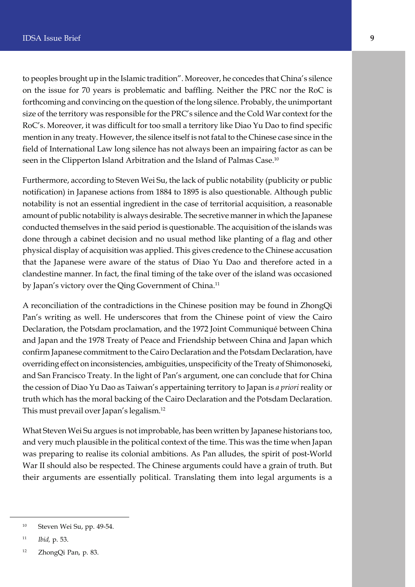to peoples brought up in the Islamic tradition". Moreover, he concedes that China's silence on the issue for 70 years is problematic and baffling. Neither the PRC nor the RoC is forthcoming and convincing on the question of the long silence. Probably, the unimportant size of the territory was responsible for the PRC's silence and the Cold War context for the RoC's. Moreover, it was difficult for too small a territory like Diao Yu Dao to find specific mention in any treaty. However, the silence itself is not fatal to the Chinese case since in the field of International Law long silence has not always been an impairing factor as can be seen in the Clipperton Island Arbitration and the Island of Palmas Case.<sup>10</sup>

Furthermore, according to Steven Wei Su, the lack of public notability (publicity or public notification) in Japanese actions from 1884 to 1895 is also questionable. Although public notability is not an essential ingredient in the case of territorial acquisition, a reasonable amount of public notability is always desirable. The secretive manner in which the Japanese conducted themselves in the said period is questionable. The acquisition of the islands was done through a cabinet decision and no usual method like planting of a flag and other physical display of acquisition was applied. This gives credence to the Chinese accusation that the Japanese were aware of the status of Diao Yu Dao and therefore acted in a clandestine manner. In fact, the final timing of the take over of the island was occasioned by Japan's victory over the Qing Government of China.<sup>11</sup>

A reconciliation of the contradictions in the Chinese position may be found in ZhongQi Pan's writing as well. He underscores that from the Chinese point of view the Cairo Declaration, the Potsdam proclamation, and the 1972 Joint Communiqué between China and Japan and the 1978 Treaty of Peace and Friendship between China and Japan which confirm Japanese commitment to the Cairo Declaration and the Potsdam Declaration, have overriding effect on inconsistencies, ambiguities, unspecificity of the Treaty of Shimonoseki, and San Francisco Treaty. In the light of Pan's argument, one can conclude that for China the cession of Diao Yu Dao as Taiwan's appertaining territory to Japan is *a priori* reality or truth which has the moral backing of the Cairo Declaration and the Potsdam Declaration. This must prevail over Japan's legalism.<sup>12</sup>

What Steven Wei Su argues is not improbable, has been written by Japanese historians too, and very much plausible in the political context of the time. This was the time when Japan was preparing to realise its colonial ambitions. As Pan alludes, the spirit of post-World War II should also be respected. The Chinese arguments could have a grain of truth. But their arguments are essentially political. Translating them into legal arguments is a

<sup>10</sup> Steven Wei Su, pp. 49-54.

<sup>11</sup> *Ibid,* p. 53.

<sup>12</sup> ZhongQi Pan, p. 83.